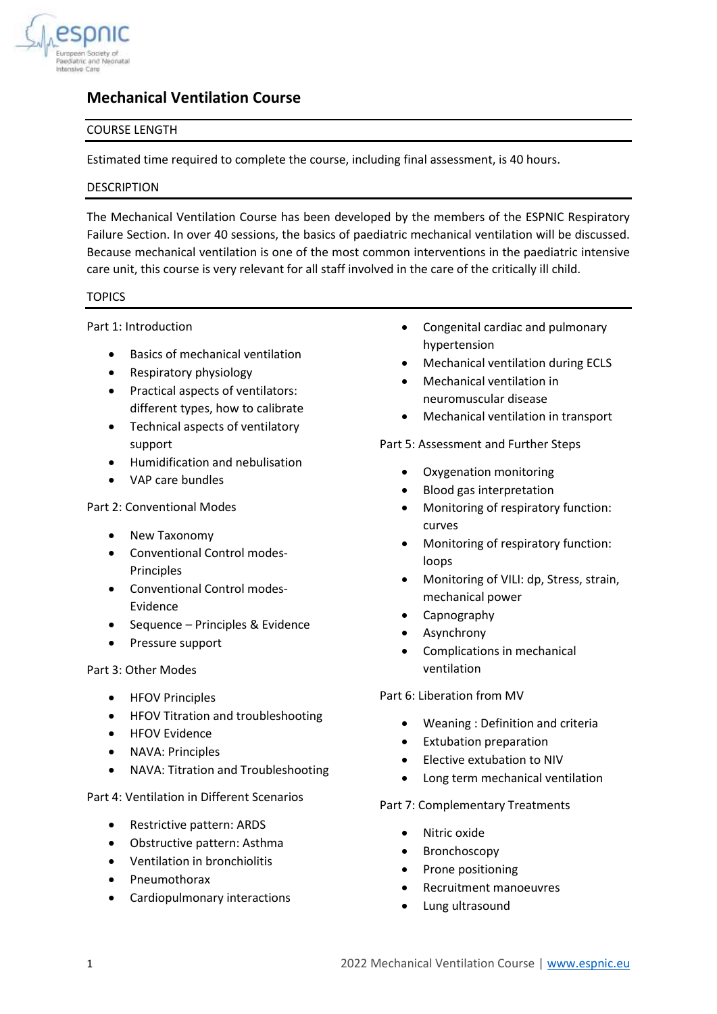

# **Mechanical Ventilation Course**

# COURSE LENGTH

Estimated time required to complete the course, including final assessment, is 40 hours.

### DESCRIPTION

The Mechanical Ventilation Course has been developed by the members of the ESPNIC Respiratory Failure Section. In over 40 sessions, the basics of paediatric mechanical ventilation will be discussed. Because mechanical ventilation is one of the most common interventions in the paediatric intensive care unit, this course is very relevant for all staff involved in the care of the critically ill child.

# TOPICS

Part 1: Introduction

- Basics of mechanical ventilation
- Respiratory physiology
- Practical aspects of ventilators: different types, how to calibrate
- Technical aspects of ventilatory support
- Humidification and nebulisation
- VAP care bundles

Part 2: Conventional Modes

- New Taxonomy
- Conventional Control modes-Principles
- Conventional Control modes-Evidence
- Sequence Principles & Evidence
- Pressure support

### Part 3: Other Modes

- HFOV Principles
- HFOV Titration and troubleshooting
- HFOV Evidence
- NAVA: Principles
- NAVA: Titration and Troubleshooting

Part 4: Ventilation in Different Scenarios

- Restrictive pattern: ARDS
- Obstructive pattern: Asthma
- Ventilation in bronchiolitis
- Pneumothorax
- Cardiopulmonary interactions
- Congenital cardiac and pulmonary hypertension
- Mechanical ventilation during ECLS
- Mechanical ventilation in neuromuscular disease
- Mechanical ventilation in transport

### Part 5: Assessment and Further Steps

- Oxygenation monitoring
- Blood gas interpretation
- Monitoring of respiratory function: curves
- Monitoring of respiratory function: loops
- Monitoring of VILI: dp, Stress, strain, mechanical power
- Capnography
- **Asynchrony**
- Complications in mechanical ventilation

### Part 6: Liberation from MV

- Weaning : Definition and criteria
- Extubation preparation
- Elective extubation to NIV
- Long term mechanical ventilation

### Part 7: Complementary Treatments

- Nitric oxide
- **Bronchoscopy**
- Prone positioning
- Recruitment manoeuvres
- Lung ultrasound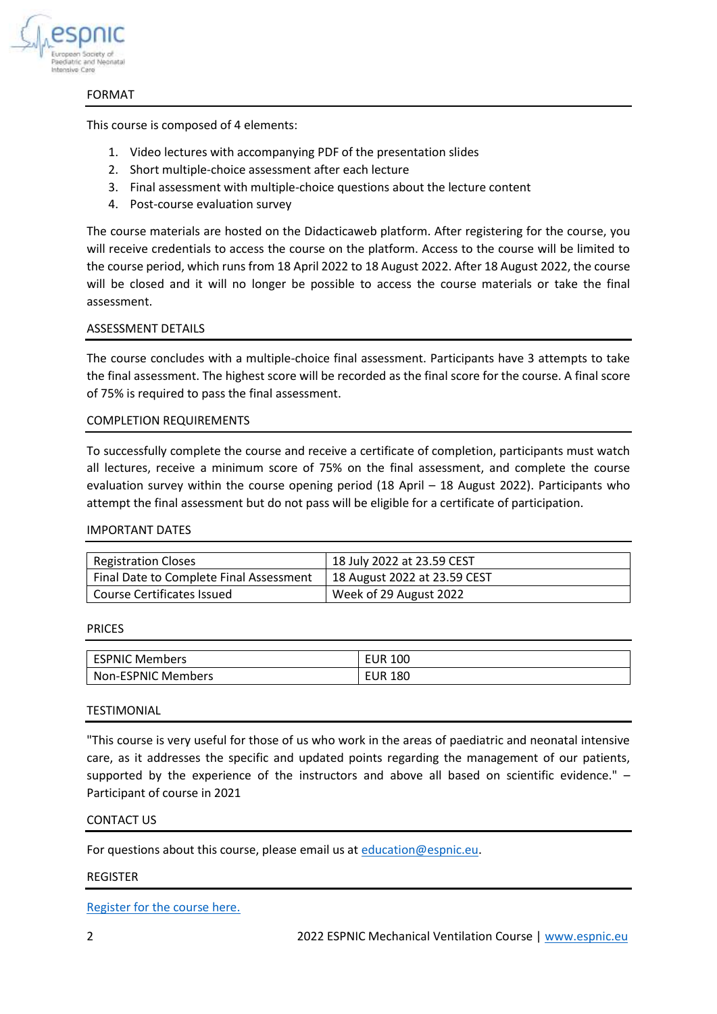

#### FORMAT

This course is composed of 4 elements:

- 1. Video lectures with accompanying PDF of the presentation slides
- 2. Short multiple-choice assessment after each lecture
- 3. Final assessment with multiple-choice questions about the lecture content
- 4. Post-course evaluation survey

The course materials are hosted on the Didacticaweb platform. After registering for the course, you will receive credentials to access the course on the platform. Access to the course will be limited to the course period, which runs from 18 April 2022 to 18 August 2022. After 18 August 2022, the course will be closed and it will no longer be possible to access the course materials or take the final assessment.

### ASSESSMENT DETAILS

The course concludes with a multiple-choice final assessment. Participants have 3 attempts to take the final assessment. The highest score will be recorded as the final score for the course. A final score of 75% is required to pass the final assessment.

### COMPLETION REQUIREMENTS

To successfully complete the course and receive a certificate of completion, participants must watch all lectures, receive a minimum score of 75% on the final assessment, and complete the course evaluation survey within the course opening period (18 April – 18 August 2022). Participants who attempt the final assessment but do not pass will be eligible for a certificate of participation.

### IMPORTANT DATES

| <b>Registration Closes</b>              | 18 July 2022 at 23.59 CEST   |
|-----------------------------------------|------------------------------|
| Final Date to Complete Final Assessment | 18 August 2022 at 23.59 CEST |
| Course Certificates Issued              | Week of 29 August 2022       |

#### PRICES

| <b>ESPNIC Members</b>     | EUR<br>100        |
|---------------------------|-------------------|
| <b>Non-ESPNIC Members</b> | 180<br><b>EUR</b> |

#### **TESTIMONIAL**

"This course is very useful for those of us who work in the areas of paediatric and neonatal intensive care, as it addresses the specific and updated points regarding the management of our patients, supported by the experience of the instructors and above all based on scientific evidence." -Participant of course in 2021

### CONTACT US

For questions about this course, please email us at [education@espnic.eu.](mailto:education@espnic.eu)

#### REGISTER

[Register for the course here.](https://www.espnic.online/index.php/courses/mechanical-ventilation)